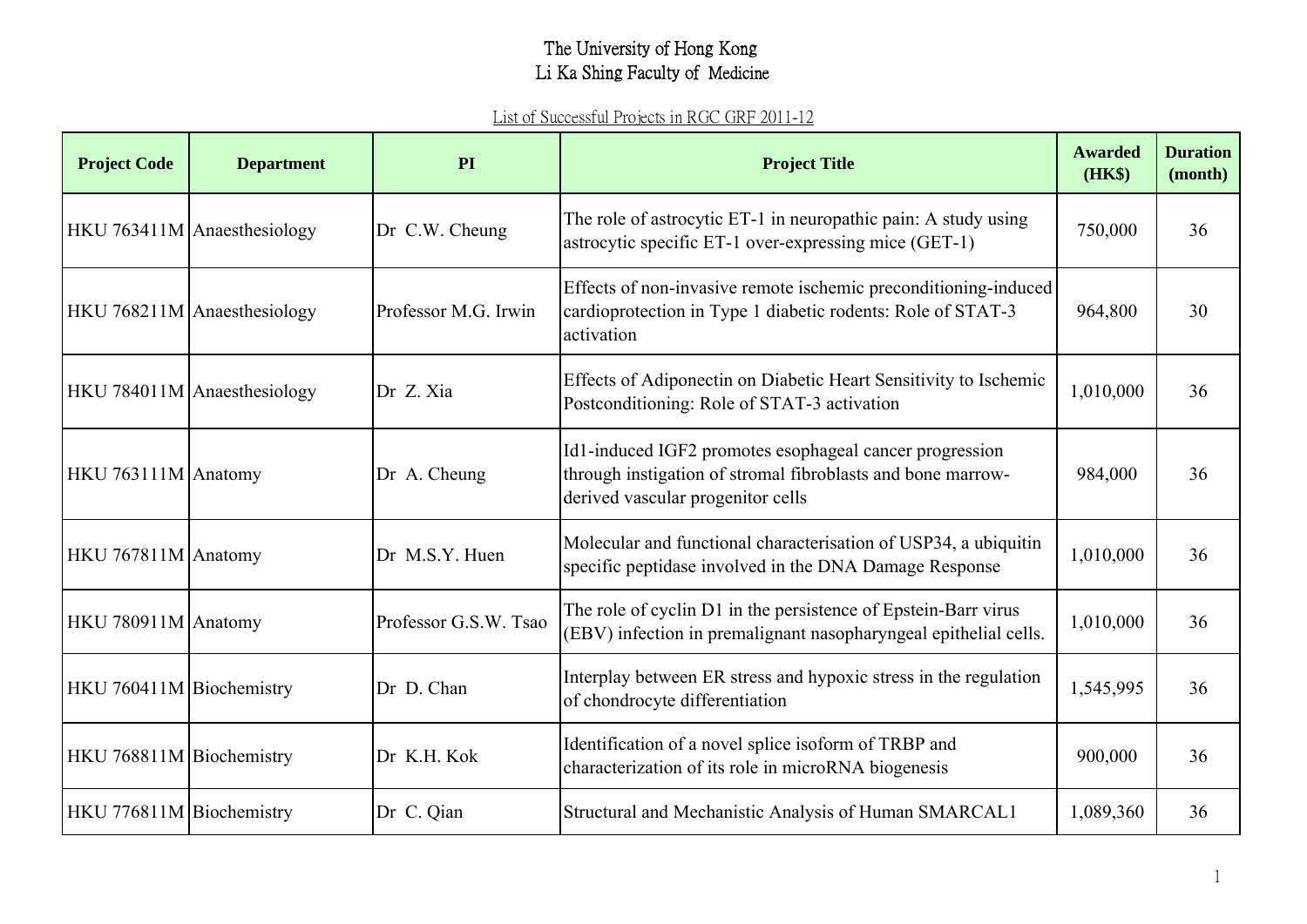| <b>Project Code</b>      | <b>Department</b>           | <b>PI</b>             | <b>Project Title</b>                                                                                                                                        | <b>Awarded</b><br>(HK\$) | <b>Duration</b><br>(month) |
|--------------------------|-----------------------------|-----------------------|-------------------------------------------------------------------------------------------------------------------------------------------------------------|--------------------------|----------------------------|
|                          | HKU 763411M Anaesthesiology | Dr C.W. Cheung        | The role of astrocytic ET-1 in neuropathic pain: A study using<br>astrocytic specific ET-1 over-expressing mice (GET-1)                                     | 750,000                  | 36                         |
|                          | HKU 768211M Anaesthesiology | Professor M.G. Irwin  | Effects of non-invasive remote ischemic preconditioning-induced<br>cardioprotection in Type 1 diabetic rodents: Role of STAT-3<br>activation                | 964,800                  | 30                         |
|                          | HKU 784011M Anaesthesiology | Dr Z. Xia             | Effects of Adiponectin on Diabetic Heart Sensitivity to Ischemic<br>Postconditioning: Role of STAT-3 activation                                             | 1,010,000                | 36                         |
| HKU 763111M Anatomy      |                             | Dr A. Cheung          | Id1-induced IGF2 promotes esophageal cancer progression<br>through instigation of stromal fibroblasts and bone marrow-<br>derived vascular progenitor cells | 984,000                  | 36                         |
| HKU 767811M Anatomy      |                             | Dr M.S.Y. Huen        | Molecular and functional characterisation of USP34, a ubiquitin<br>specific peptidase involved in the DNA Damage Response                                   | 1,010,000                | 36                         |
| HKU 780911M Anatomy      |                             | Professor G.S.W. Tsao | The role of cyclin D1 in the persistence of Epstein-Barr virus<br>(EBV) infection in premalignant nasopharyngeal epithelial cells.                          | 1,010,000                | 36                         |
| HKU 760411M Biochemistry |                             | Dr D. Chan            | Interplay between ER stress and hypoxic stress in the regulation<br>of chondrocyte differentiation                                                          | 1,545,995                | 36                         |
| HKU 768811M Biochemistry |                             | Dr K.H. Kok           | Identification of a novel splice isoform of TRBP and<br>characterization of its role in microRNA biogenesis                                                 | 900,000                  | 36                         |
| HKU 776811M Biochemistry |                             | Dr C. Qian            | Structural and Mechanistic Analysis of Human SMARCAL1                                                                                                       | 1,089,360                | 36                         |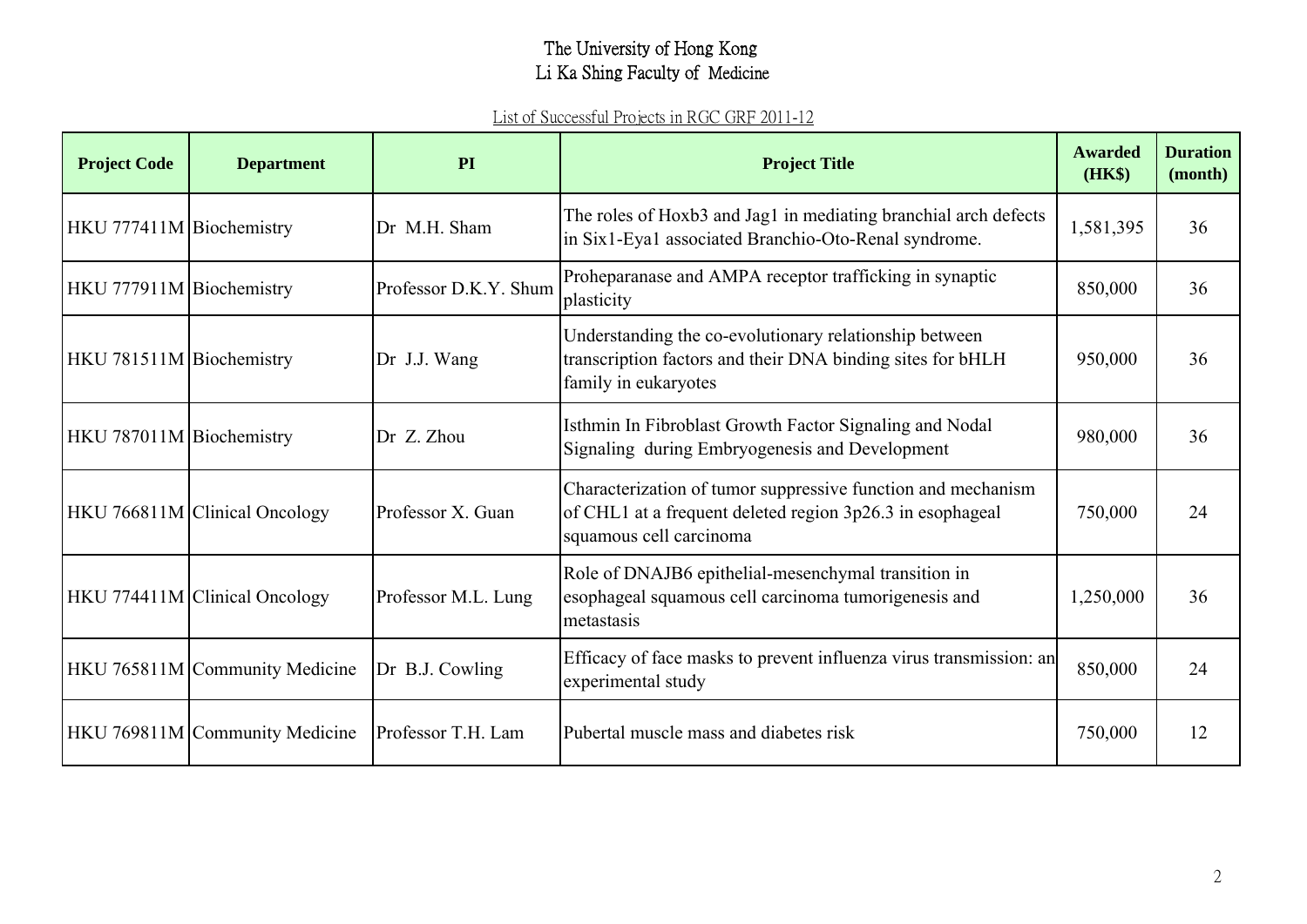| <b>Project Code</b>      | <b>Department</b>              | <b>PI</b>             | <b>Project Title</b>                                                                                                                                 | <b>Awarded</b><br>(HK\$) | <b>Duration</b><br>(month) |
|--------------------------|--------------------------------|-----------------------|------------------------------------------------------------------------------------------------------------------------------------------------------|--------------------------|----------------------------|
| HKU 777411M Biochemistry |                                | Dr M.H. Sham          | The roles of Hoxb3 and Jag1 in mediating branchial arch defects<br>in Six1-Eya1 associated Branchio-Oto-Renal syndrome.                              | 1,581,395                | 36                         |
| HKU 777911M Biochemistry |                                | Professor D.K.Y. Shum | Proheparanase and AMPA receptor trafficking in synaptic<br>plasticity                                                                                | 850,000                  | 36                         |
| HKU 781511M Biochemistry |                                | Dr J.J. Wang          | Understanding the co-evolutionary relationship between<br>transcription factors and their DNA binding sites for bHLH<br>family in eukaryotes         | 950,000                  | 36                         |
| HKU 787011M Biochemistry |                                | Dr Z. Zhou            | Isthmin In Fibroblast Growth Factor Signaling and Nodal<br>Signaling during Embryogenesis and Development                                            | 980,000                  | 36                         |
|                          | HKU 766811M Clinical Oncology  | Professor X. Guan     | Characterization of tumor suppressive function and mechanism<br>of CHL1 at a frequent deleted region 3p26.3 in esophageal<br>squamous cell carcinoma | 750,000                  | 24                         |
|                          | HKU 774411M Clinical Oncology  | Professor M.L. Lung   | Role of DNAJB6 epithelial-mesenchymal transition in<br>esophageal squamous cell carcinoma tumorigenesis and<br>metastasis                            | 1,250,000                | 36                         |
|                          | HKU 765811M Community Medicine | Dr B.J. Cowling       | Efficacy of face masks to prevent influenza virus transmission: an<br>experimental study                                                             | 850,000                  | 24                         |
|                          | HKU 769811M Community Medicine | Professor T.H. Lam    | Pubertal muscle mass and diabetes risk                                                                                                               | 750,000                  | 12                         |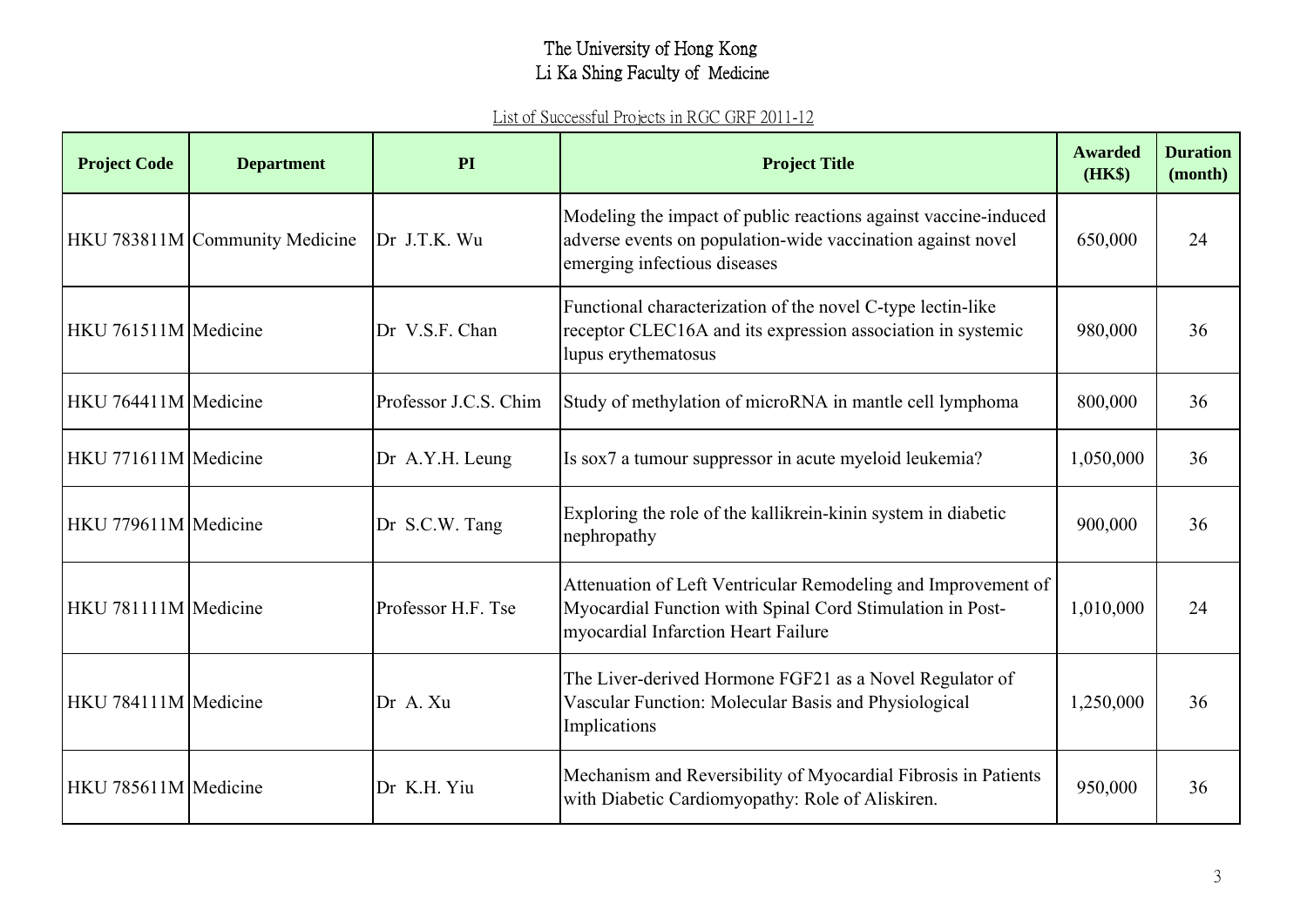| <b>Project Code</b>  | <b>Department</b>              | PI                    | <b>Project Title</b>                                                                                                                                              | <b>Awarded</b><br>(HK\$) | <b>Duration</b><br>(month) |
|----------------------|--------------------------------|-----------------------|-------------------------------------------------------------------------------------------------------------------------------------------------------------------|--------------------------|----------------------------|
|                      | HKU 783811M Community Medicine | Dr J.T.K. Wu          | Modeling the impact of public reactions against vaccine-induced<br>adverse events on population-wide vaccination against novel<br>emerging infectious diseases    | 650,000                  | 24                         |
| HKU 761511M Medicine |                                | Dr V.S.F. Chan        | Functional characterization of the novel C-type lectin-like<br>receptor CLEC16A and its expression association in systemic<br>lupus erythematosus                 | 980,000                  | 36                         |
| HKU 764411M Medicine |                                | Professor J.C.S. Chim | Study of methylation of microRNA in mantle cell lymphoma                                                                                                          | 800,000                  | 36                         |
| HKU 771611M Medicine |                                | Dr A.Y.H. Leung       | Is sox7 a tumour suppressor in acute myeloid leukemia?                                                                                                            | 1,050,000                | 36                         |
| HKU 779611M Medicine |                                | Dr S.C.W. Tang        | Exploring the role of the kallikrein-kinin system in diabetic<br>nephropathy                                                                                      | 900,000                  | 36                         |
| HKU 781111M Medicine |                                | Professor H.F. Tse    | Attenuation of Left Ventricular Remodeling and Improvement of<br>Myocardial Function with Spinal Cord Stimulation in Post-<br>myocardial Infarction Heart Failure | 1,010,000                | 24                         |
| HKU 784111M Medicine |                                | Dr A. Xu              | The Liver-derived Hormone FGF21 as a Novel Regulator of<br>Vascular Function: Molecular Basis and Physiological<br>Implications                                   | 1,250,000                | 36                         |
| HKU 785611M Medicine |                                | Dr K.H. Yiu           | Mechanism and Reversibility of Myocardial Fibrosis in Patients<br>with Diabetic Cardiomyopathy: Role of Aliskiren.                                                | 950,000                  | 36                         |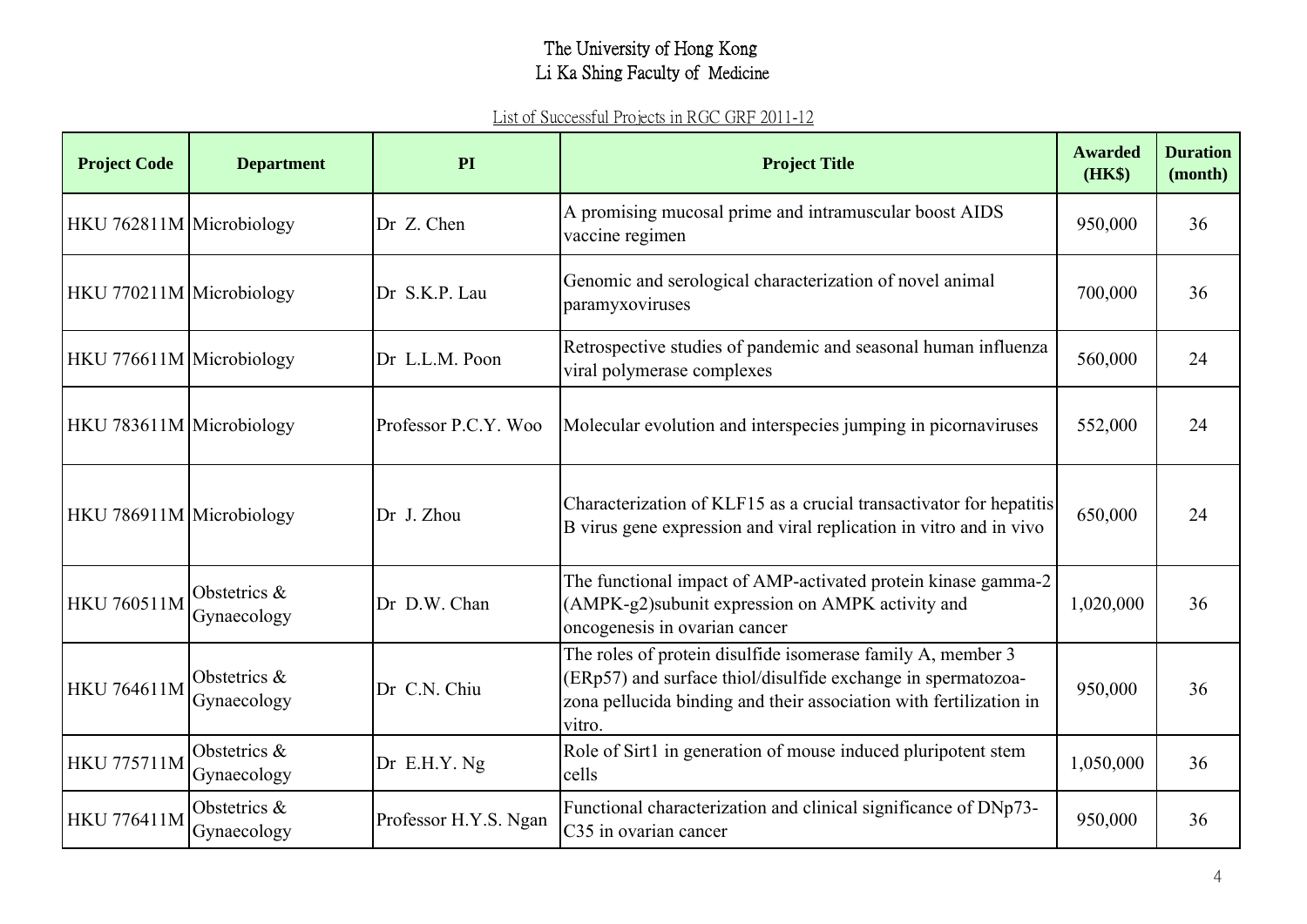| <b>Project Code</b>      | <b>Department</b>           | PI                    | <b>Project Title</b>                                                                                                                                                                                        | <b>Awarded</b><br>(HK\$) | <b>Duration</b><br>(month) |
|--------------------------|-----------------------------|-----------------------|-------------------------------------------------------------------------------------------------------------------------------------------------------------------------------------------------------------|--------------------------|----------------------------|
| HKU 762811M Microbiology |                             | Dr Z. Chen            | A promising mucosal prime and intramuscular boost AIDS<br>vaccine regimen                                                                                                                                   | 950,000                  | 36                         |
| HKU 770211M Microbiology |                             | Dr S.K.P. Lau         | Genomic and serological characterization of novel animal<br>paramyxoviruses                                                                                                                                 | 700,000                  | 36                         |
| HKU 776611M Microbiology |                             | Dr L.L.M. Poon        | Retrospective studies of pandemic and seasonal human influenza<br>viral polymerase complexes                                                                                                                | 560,000                  | 24                         |
| HKU 783611M Microbiology |                             | Professor P.C.Y. Woo  | Molecular evolution and interspecies jumping in picornaviruses                                                                                                                                              | 552,000                  | 24                         |
| HKU 786911M Microbiology |                             | Dr J. Zhou            | Characterization of KLF15 as a crucial transactivator for hepatitis<br>B virus gene expression and viral replication in vitro and in vivo                                                                   | 650,000                  | 24                         |
| <b>HKU 760511M</b>       | Obstetrics &<br>Gynaecology | Dr D.W. Chan          | The functional impact of AMP-activated protein kinase gamma-2<br>(AMPK-g2)subunit expression on AMPK activity and<br>oncogenesis in ovarian cancer                                                          | 1,020,000                | 36                         |
| <b>HKU 764611M</b>       | Obstetrics &<br>Gynaecology | Dr C.N. Chiu          | The roles of protein disulfide isomerase family A, member 3<br>(ERp57) and surface thiol/disulfide exchange in spermatozoa-<br>zona pellucida binding and their association with fertilization in<br>vitro. | 950,000                  | 36                         |
| <b>HKU 775711M</b>       | Obstetrics &<br>Gynaecology | Dr E.H.Y. Ng          | Role of Sirt1 in generation of mouse induced pluripotent stem<br>cells                                                                                                                                      | 1,050,000                | 36                         |
| <b>HKU 776411M</b>       | Obstetrics &<br>Gynaecology | Professor H.Y.S. Ngan | Functional characterization and clinical significance of DNp73-<br>C <sub>35</sub> in ovarian cancer                                                                                                        | 950,000                  | 36                         |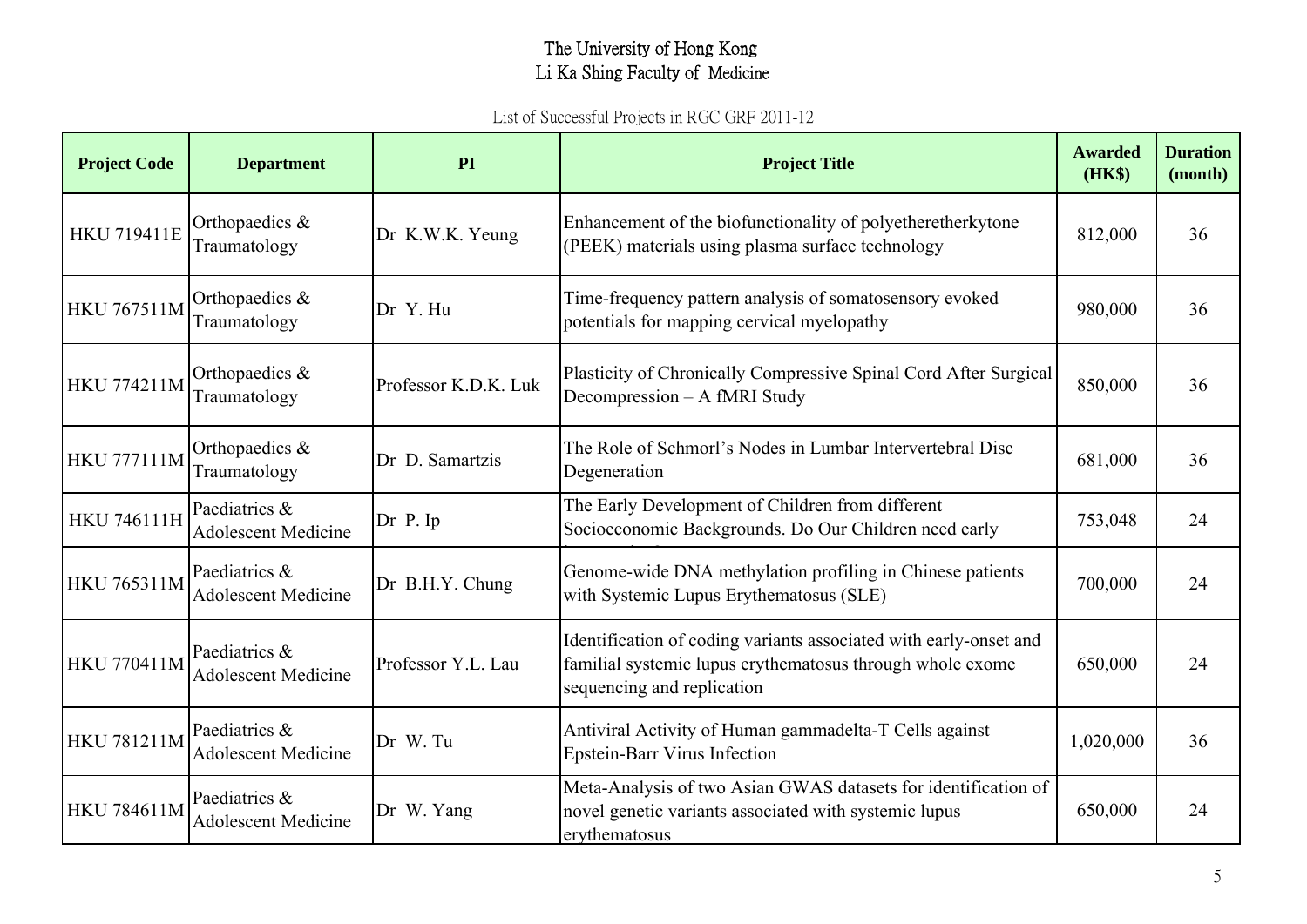| <b>Project Code</b> | <b>Department</b>                           | PI                   | <b>Project Title</b>                                                                                                                                         | <b>Awarded</b><br>(HK\$) | <b>Duration</b><br>(month) |
|---------------------|---------------------------------------------|----------------------|--------------------------------------------------------------------------------------------------------------------------------------------------------------|--------------------------|----------------------------|
| <b>HKU 719411E</b>  | Orthopaedics &<br>Traumatology              | Dr K.W.K. Yeung      | Enhancement of the biofunctionality of polyetheretherkytone<br>(PEEK) materials using plasma surface technology                                              | 812,000                  | 36                         |
| <b>HKU 767511M</b>  | Orthopaedics &<br>Traumatology              | Dr Y. Hu             | Time-frequency pattern analysis of somatosensory evoked<br>potentials for mapping cervical myelopathy                                                        | 980,000                  | 36                         |
| <b>HKU 774211M</b>  | Orthopaedics &<br>Traumatology              | Professor K.D.K. Luk | Plasticity of Chronically Compressive Spinal Cord After Surgical<br>Decompression - A fMRI Study                                                             | 850,000                  | 36                         |
| <b>HKU 777111M</b>  | Orthopaedics &<br>Traumatology              | Dr D. Samartzis      | The Role of Schmorl's Nodes in Lumbar Intervertebral Disc<br>Degeneration                                                                                    | 681,000                  | 36                         |
| <b>HKU 746111H</b>  | Paediatrics &<br><b>Adolescent Medicine</b> | Dr P. Ip             | The Early Development of Children from different<br>Socioeconomic Backgrounds. Do Our Children need early                                                    | 753,048                  | 24                         |
| <b>HKU 765311M</b>  | Paediatrics &<br><b>Adolescent Medicine</b> | Dr B.H.Y. Chung      | Genome-wide DNA methylation profiling in Chinese patients<br>with Systemic Lupus Erythematosus (SLE)                                                         | 700,000                  | 24                         |
| <b>HKU 770411M</b>  | Paediatrics &<br><b>Adolescent Medicine</b> | Professor Y.L. Lau   | Identification of coding variants associated with early-onset and<br>familial systemic lupus erythematosus through whole exome<br>sequencing and replication | 650,000                  | 24                         |
| <b>HKU 781211M</b>  | Paediatrics &<br><b>Adolescent Medicine</b> | Dr W. Tu             | Antiviral Activity of Human gammadelta-T Cells against<br><b>Epstein-Barr Virus Infection</b>                                                                | 1,020,000                | 36                         |
| <b>HKU 784611M</b>  | Paediatrics &<br><b>Adolescent Medicine</b> | Dr W. Yang           | Meta-Analysis of two Asian GWAS datasets for identification of<br>novel genetic variants associated with systemic lupus<br>erythematosus                     | 650,000                  | 24                         |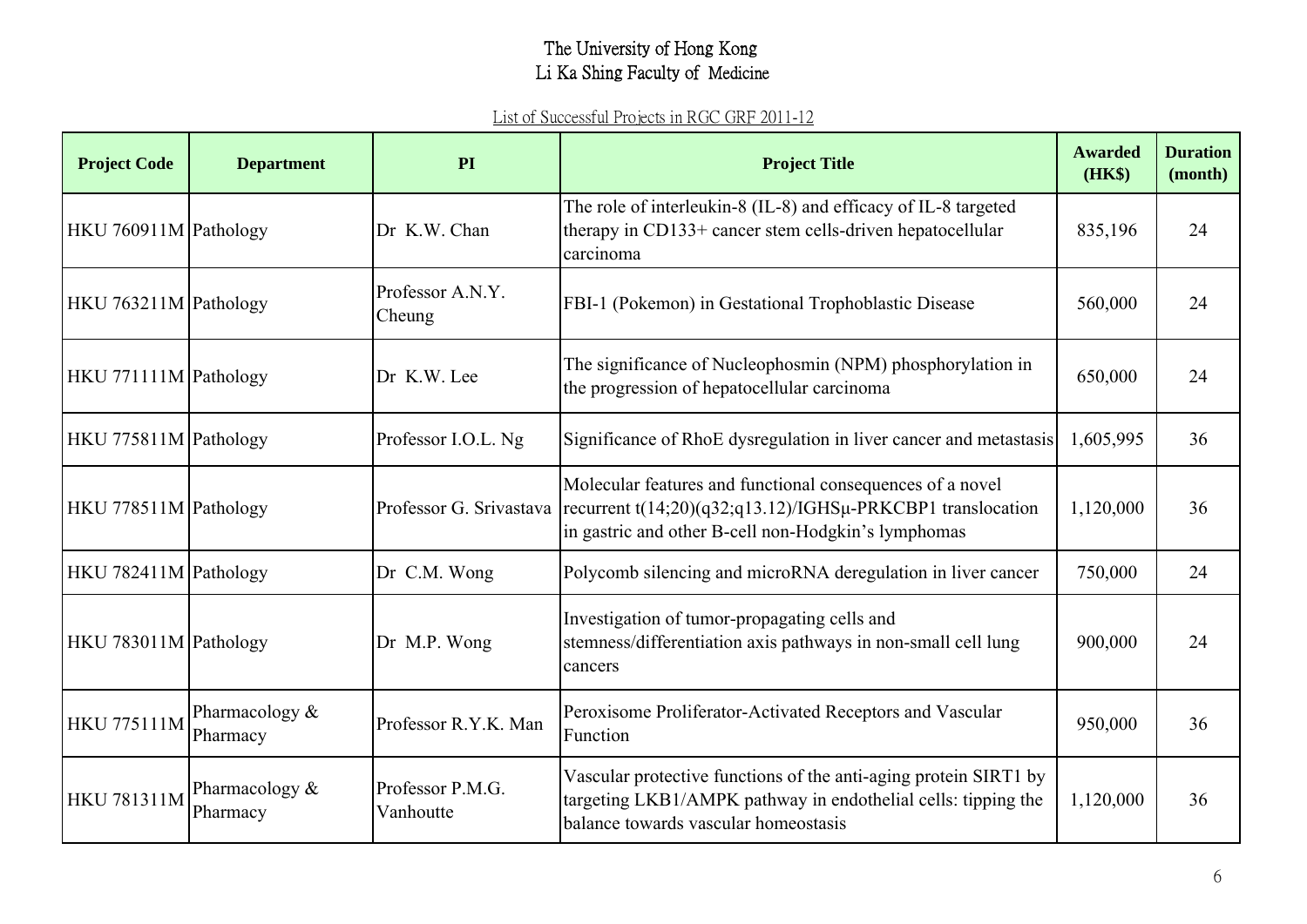| <b>Project Code</b>   | <b>Department</b>            | PI                            | <b>Project Title</b>                                                                                                                                                                                        | <b>Awarded</b><br>(HK\$) | <b>Duration</b><br>(month) |
|-----------------------|------------------------------|-------------------------------|-------------------------------------------------------------------------------------------------------------------------------------------------------------------------------------------------------------|--------------------------|----------------------------|
| HKU 760911M Pathology |                              | Dr K.W. Chan                  | The role of interleukin-8 (IL-8) and efficacy of IL-8 targeted<br>therapy in CD133+ cancer stem cells-driven hepatocellular<br>carcinoma                                                                    | 835,196                  | 24                         |
| HKU 763211M Pathology |                              | Professor A.N.Y.<br>Cheung    | FBI-1 (Pokemon) in Gestational Trophoblastic Disease                                                                                                                                                        | 560,000                  | 24                         |
| HKU 771111M Pathology |                              | Dr K.W. Lee                   | The significance of Nucleophosmin (NPM) phosphorylation in<br>the progression of hepatocellular carcinoma                                                                                                   | 650,000                  | 24                         |
| HKU 775811M Pathology |                              | Professor I.O.L. Ng           | Significance of RhoE dysregulation in liver cancer and metastasis                                                                                                                                           | 1,605,995                | 36                         |
| HKU 778511M Pathology |                              |                               | Molecular features and functional consequences of a novel<br>Professor G. Srivastava recurrent $t(14;20)(q32;q13.12)/IGHS\mu$ -PRKCBP1 translocation<br>in gastric and other B-cell non-Hodgkin's lymphomas | 1,120,000                | 36                         |
| HKU 782411M Pathology |                              | Dr C.M. Wong                  | Polycomb silencing and microRNA deregulation in liver cancer                                                                                                                                                | 750,000                  | 24                         |
| HKU 783011M Pathology |                              | Dr M.P. Wong                  | Investigation of tumor-propagating cells and<br>stemness/differentiation axis pathways in non-small cell lung<br>cancers                                                                                    | 900,000                  | 24                         |
| <b>HKU 775111M</b>    | Pharmacology &<br>Pharmacy   | Professor R.Y.K. Man          | Peroxisome Proliferator-Activated Receptors and Vascular<br>Function                                                                                                                                        | 950,000                  | 36                         |
| <b>HKU 781311M</b>    | Pharmacology $&$<br>Pharmacy | Professor P.M.G.<br>Vanhoutte | Vascular protective functions of the anti-aging protein SIRT1 by<br>targeting LKB1/AMPK pathway in endothelial cells: tipping the<br>balance towards vascular homeostasis                                   | 1,120,000                | 36                         |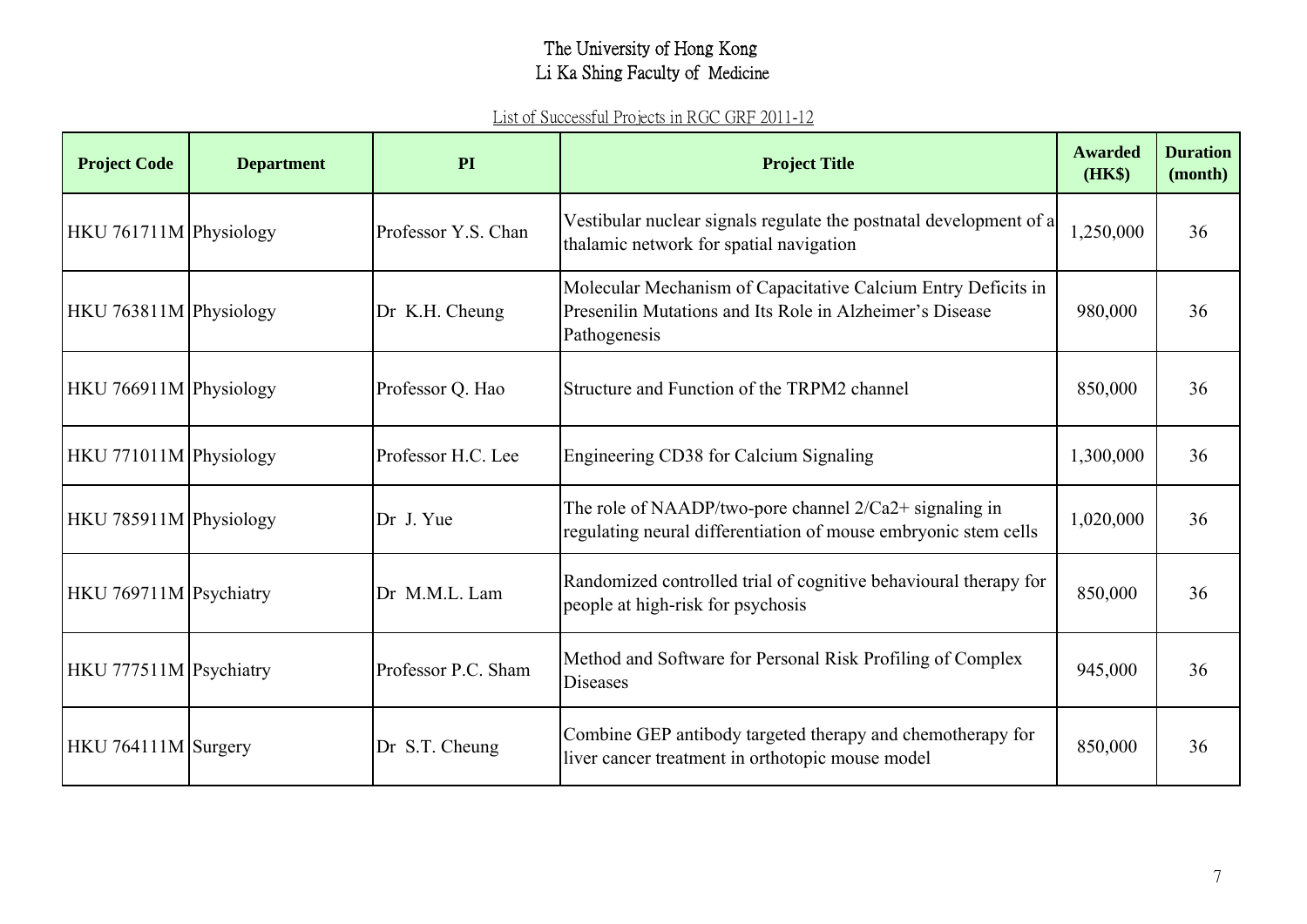| <b>Project Code</b>    | <b>Department</b> | PI                  | <b>Project Title</b>                                                                                                                      | <b>Awarded</b><br>(HK\$) | <b>Duration</b><br>(month) |
|------------------------|-------------------|---------------------|-------------------------------------------------------------------------------------------------------------------------------------------|--------------------------|----------------------------|
| HKU 761711M Physiology |                   | Professor Y.S. Chan | Vestibular nuclear signals regulate the postnatal development of a<br>thalamic network for spatial navigation                             | 1,250,000                | 36                         |
| HKU 763811M Physiology |                   | Dr K.H. Cheung      | Molecular Mechanism of Capacitative Calcium Entry Deficits in<br>Presenilin Mutations and Its Role in Alzheimer's Disease<br>Pathogenesis | 980,000                  | 36                         |
| HKU 766911M Physiology |                   | Professor Q. Hao    | Structure and Function of the TRPM2 channel                                                                                               | 850,000                  | 36                         |
| HKU 771011M Physiology |                   | Professor H.C. Lee  | Engineering CD38 for Calcium Signaling                                                                                                    | 1,300,000                | 36                         |
| HKU 785911M Physiology |                   | Dr J. Yue           | The role of NAADP/two-pore channel $2/Ca2+$ signaling in<br>regulating neural differentiation of mouse embryonic stem cells               | 1,020,000                | 36                         |
| HKU 769711M Psychiatry |                   | Dr M.M.L. Lam       | Randomized controlled trial of cognitive behavioural therapy for<br>people at high-risk for psychosis                                     | 850,000                  | 36                         |
| HKU 777511M Psychiatry |                   | Professor P.C. Sham | Method and Software for Personal Risk Profiling of Complex<br>Diseases                                                                    | 945,000                  | 36                         |
| HKU 764111M Surgery    |                   | Dr S.T. Cheung      | Combine GEP antibody targeted therapy and chemotherapy for<br>liver cancer treatment in orthotopic mouse model                            | 850,000                  | 36                         |